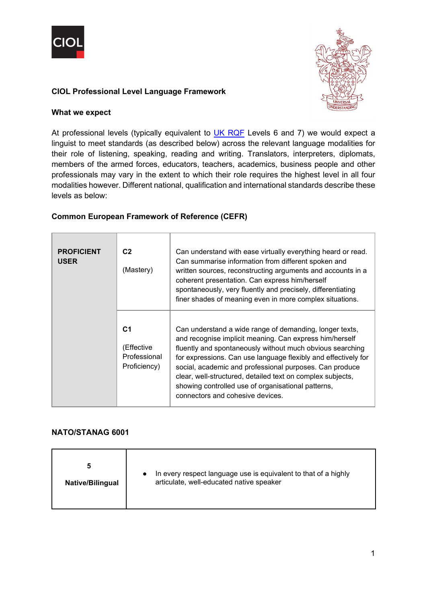



## **CIOL Professional Level Language Framework**

#### **What we expect**

At professional levels (typically equivalent to  $UK$  RQF Levels 6 and 7) we would expect a linguist to meet standards (as described below) across the relevant language modalities for their role of listening, speaking, reading and writing. Translators, interpreters, diplomats, members of the armed forces, educators, teachers, academics, business people and other professionals may vary in the extent to which their role requires the highest level in all four modalities however. Different national, qualification and international standards describe these levels as below:

#### **Common European Framework of Reference (CEFR)**

| <b>PROFICIENT</b><br><b>USER</b> | C <sub>2</sub><br>(Mastery)                                  | Can understand with ease virtually everything heard or read.<br>Can summarise information from different spoken and<br>written sources, reconstructing arguments and accounts in a<br>coherent presentation. Can express him/herself<br>spontaneously, very fluently and precisely, differentiating<br>finer shades of meaning even in more complex situations.                                                                                                      |
|----------------------------------|--------------------------------------------------------------|----------------------------------------------------------------------------------------------------------------------------------------------------------------------------------------------------------------------------------------------------------------------------------------------------------------------------------------------------------------------------------------------------------------------------------------------------------------------|
|                                  | C <sub>1</sub><br>(Effective<br>Professional<br>Proficiency) | Can understand a wide range of demanding, longer texts,<br>and recognise implicit meaning. Can express him/herself<br>fluently and spontaneously without much obvious searching<br>for expressions. Can use language flexibly and effectively for<br>social, academic and professional purposes. Can produce<br>clear, well-structured, detailed text on complex subjects,<br>showing controlled use of organisational patterns,<br>connectors and cohesive devices. |

## **NATO/STANAG 6001**

| 5<br>In every respect language use is equivalent to that of a highly<br>$\bullet$<br>articulate, well-educated native speaker<br><b>Native/Bilingual</b> |
|----------------------------------------------------------------------------------------------------------------------------------------------------------|
|----------------------------------------------------------------------------------------------------------------------------------------------------------|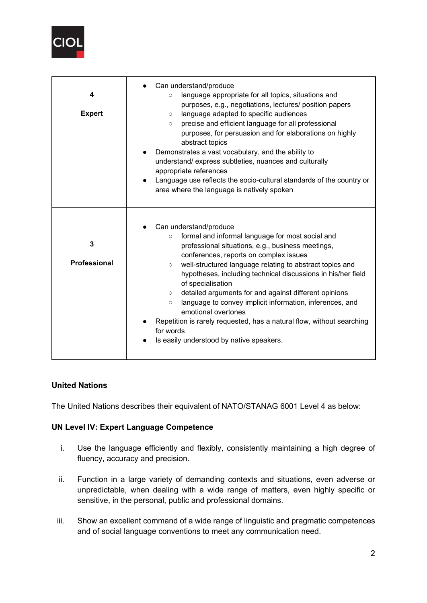

| 4<br><b>Expert</b>       | Can understand/produce<br>language appropriate for all topics, situations and<br>$\circ$<br>purposes, e.g., negotiations, lectures/ position papers<br>language adapted to specific audiences<br>$\circ$<br>precise and efficient language for all professional<br>$\circ$<br>purposes, for persuasion and for elaborations on highly<br>abstract topics<br>Demonstrates a vast vocabulary, and the ability to<br>$\bullet$<br>understand/express subtleties, nuances and culturally<br>appropriate references<br>Language use reflects the socio-cultural standards of the country or<br>area where the language is natively spoken                 |
|--------------------------|------------------------------------------------------------------------------------------------------------------------------------------------------------------------------------------------------------------------------------------------------------------------------------------------------------------------------------------------------------------------------------------------------------------------------------------------------------------------------------------------------------------------------------------------------------------------------------------------------------------------------------------------------|
| 3<br><b>Professional</b> | Can understand/produce<br>formal and informal language for most social and<br>$\circ$<br>professional situations, e.g., business meetings,<br>conferences, reports on complex issues<br>well-structured language relating to abstract topics and<br>$\circ$<br>hypotheses, including technical discussions in his/her field<br>of specialisation<br>detailed arguments for and against different opinions<br>$\circ$<br>language to convey implicit information, inferences, and<br>$\circ$<br>emotional overtones<br>Repetition is rarely requested, has a natural flow, without searching<br>for words<br>Is easily understood by native speakers. |

## **United Nations**

The United Nations describes their equivalent of NATO/STANAG 6001 Level 4 as below:

## **UN Level IV: Expert Language Competence**

- i. Use the language efficiently and flexibly, consistently maintaining a high degree of fluency, accuracy and precision.
- ii. Function in a large variety of demanding contexts and situations, even adverse or unpredictable, when dealing with a wide range of matters, even highly specific or sensitive, in the personal, public and professional domains.
- iii. Show an excellent command of a wide range of linguistic and pragmatic competences and of social language conventions to meet any communication need.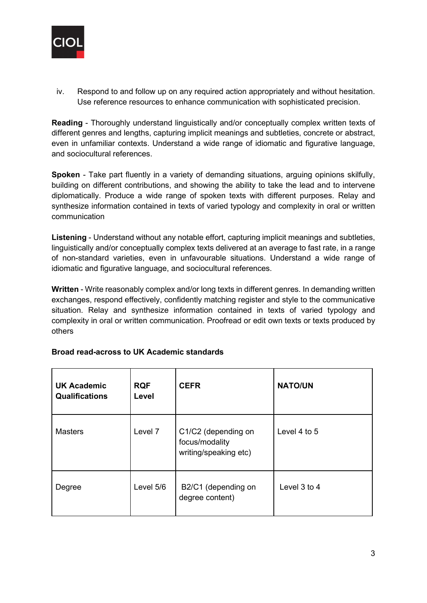

iv. Respond to and follow up on any required action appropriately and without hesitation. Use reference resources to enhance communication with sophisticated precision.

**Reading** - Thoroughly understand linguistically and/or conceptually complex written texts of different genres and lengths, capturing implicit meanings and subtleties, concrete or abstract, even in unfamiliar contexts. Understand a wide range of idiomatic and figurative language, and sociocultural references.

**Spoken** - Take part fluently in a variety of demanding situations, arguing opinions skilfully, building on different contributions, and showing the ability to take the lead and to intervene diplomatically. Produce a wide range of spoken texts with different purposes. Relay and synthesize information contained in texts of varied typology and complexity in oral or written communication

**Listening** - Understand without any notable effort, capturing implicit meanings and subtleties, linguistically and/or conceptually complex texts delivered at an average to fast rate, in a range of non-standard varieties, even in unfavourable situations. Understand a wide range of idiomatic and figurative language, and sociocultural references.

**Written** - Write reasonably complex and/or long texts in different genres. In demanding written exchanges, respond effectively, confidently matching register and style to the communicative situation. Relay and synthesize information contained in texts of varied typology and complexity in oral or written communication. Proofread or edit own texts or texts produced by others

| <b>UK Academic</b><br><b>Qualifications</b> | <b>RQF</b><br>Level | <b>CEFR</b>                                                    | <b>NATO/UN</b> |
|---------------------------------------------|---------------------|----------------------------------------------------------------|----------------|
| <b>Masters</b>                              | Level 7             | C1/C2 (depending on<br>focus/modality<br>writing/speaking etc) | Level 4 to 5   |
| Degree                                      | Level 5/6           | B2/C1 (depending on<br>degree content)                         | Level 3 to 4   |

## **Broad read-across to UK Academic standards**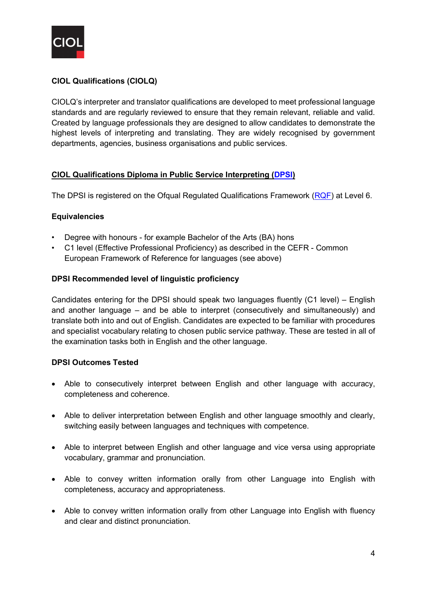

## **CIOL Qualifications (CIOLQ)**

CIOLQ's interpreter and translator qualifications are developed to meet professional language standards and are regularly reviewed to ensure that they remain relevant, reliable and valid. Created by language professionals they are designed to allow candidates to demonstrate the highest levels of interpreting and translating. They are widely recognised by government departments, agencies, business organisations and public services.

## **CIOL Qualifications Diploma in Public Service Interpreting [\(DPSI\)](https://www.ciol.org.uk/sites/default/files/Qualification%20spec-DPSI-update181120.pdf)**

The DPSI is registered on the Ofqual Regulated Qualifications Framework [\(RQF\)](https://www.gov.uk/what-different-qualification-levels-mean/list-of-qualification-levels) at Level 6.

#### **Equivalencies**

- Degree with honours for example Bachelor of the Arts (BA) hons
- C1 level (Effective Professional Proficiency) as described in the CEFR Common European Framework of Reference for languages (see above)

#### **DPSI Recommended level of linguistic proficiency**

Candidates entering for the DPSI should speak two languages fluently (C1 level) – English and another language – and be able to interpret (consecutively and simultaneously) and translate both into and out of English. Candidates are expected to be familiar with procedures and specialist vocabulary relating to chosen public service pathway. These are tested in all of the examination tasks both in English and the other language.

## **DPSI Outcomes Tested**

- Able to consecutively interpret between English and other language with accuracy, completeness and coherence.
- Able to deliver interpretation between English and other language smoothly and clearly, switching easily between languages and techniques with competence.
- Able to interpret between English and other language and vice versa using appropriate vocabulary, grammar and pronunciation.
- Able to convey written information orally from other Language into English with completeness, accuracy and appropriateness.
- Able to convey written information orally from other Language into English with fluency and clear and distinct pronunciation.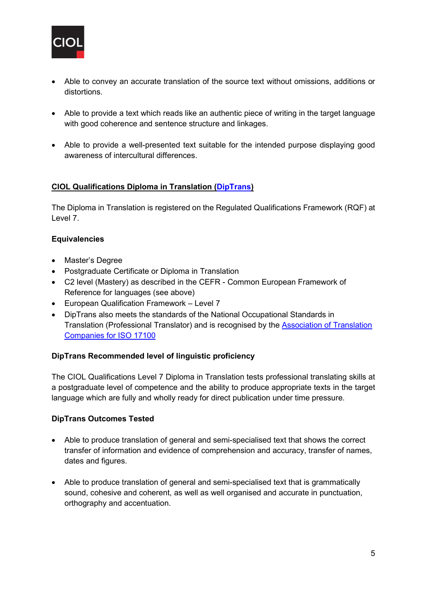

- Able to convey an accurate translation of the source text without omissions, additions or distortions.
- Able to provide a text which reads like an authentic piece of writing in the target language with good coherence and sentence structure and linkages.
- Able to provide a well-presented text suitable for the intended purpose displaying good awareness of intercultural differences.

## **CIOL Qualifications Diploma in Translation [\(DipTrans\)](https://www.ciol.org.uk/sites/default/files/Qualification%20spec-DipTrans.pdf)**

The Diploma in Translation is registered on the Regulated Qualifications Framework (RQF) at Level 7.

## **Equivalencies**

- Master's Degree
- Postgraduate Certificate or Diploma in Translation
- C2 level (Mastery) as described in the CEFR Common European Framework of Reference for languages (see above)
- European Qualification Framework Level 7
- DipTrans also meets the standards of the National Occupational Standards in Translation (Professional Translator) and is recognised by the [Association of Translation](https://www.ciol.org.uk/sites/default/files/CIOLQ%20ATC%20Qualification%20Equivalencies%20for%20ISO%20Final_0.pdf)  Companies [for ISO 17100](https://www.ciol.org.uk/sites/default/files/CIOLQ%20ATC%20Qualification%20Equivalencies%20for%20ISO%20Final_0.pdf)

#### **DipTrans Recommended level of linguistic proficiency**

The CIOL Qualifications Level 7 Diploma in Translation tests professional translating skills at a postgraduate level of competence and the ability to produce appropriate texts in the target language which are fully and wholly ready for direct publication under time pressure.

## **DipTrans Outcomes Tested**

- Able to produce translation of general and semi-specialised text that shows the correct transfer of information and evidence of comprehension and accuracy, transfer of names, dates and figures.
- Able to produce translation of general and semi-specialised text that is grammatically sound, cohesive and coherent, as well as well organised and accurate in punctuation, orthography and accentuation.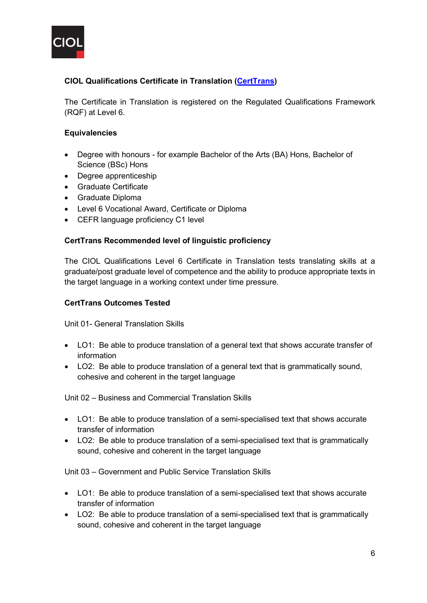

# **CIOL Qualifications Certificate in Translation [\(CertTrans\)](https://www.ciol.org.uk/sites/default/files/30647%20Cert%20Trans%20Spec%20FNL.pdf)**

The Certificate in Translation is registered on the Regulated Qualifications Framework (RQF) at Level 6.

## **Equivalencies**

- Degree with honours for example Bachelor of the Arts (BA) Hons, Bachelor of Science (BSc) Hons
- Degree apprenticeship
- Graduate Certificate
- Graduate Diploma
- Level 6 Vocational Award, Certificate or Diploma
- CEFR language proficiency C1 level

#### **CertTrans Recommended level of linguistic proficiency**

The CIOL Qualifications Level 6 Certificate in Translation tests translating skills at a graduate/post graduate level of competence and the ability to produce appropriate texts in the target language in a working context under time pressure.

#### **CertTrans Outcomes Tested**

Unit 01- General Translation Skills

- LO1: Be able to produce translation of a general text that shows accurate transfer of information
- LO2: Be able to produce translation of a general text that is grammatically sound, cohesive and coherent in the target language

Unit 02 – Business and Commercial Translation Skills

- LO1: Be able to produce translation of a semi-specialised text that shows accurate transfer of information
- LO2: Be able to produce translation of a semi-specialised text that is grammatically sound, cohesive and coherent in the target language

Unit 03 – Government and Public Service Translation Skills

- LO1: Be able to produce translation of a semi-specialised text that shows accurate transfer of information
- LO2: Be able to produce translation of a semi-specialised text that is grammatically sound, cohesive and coherent in the target language